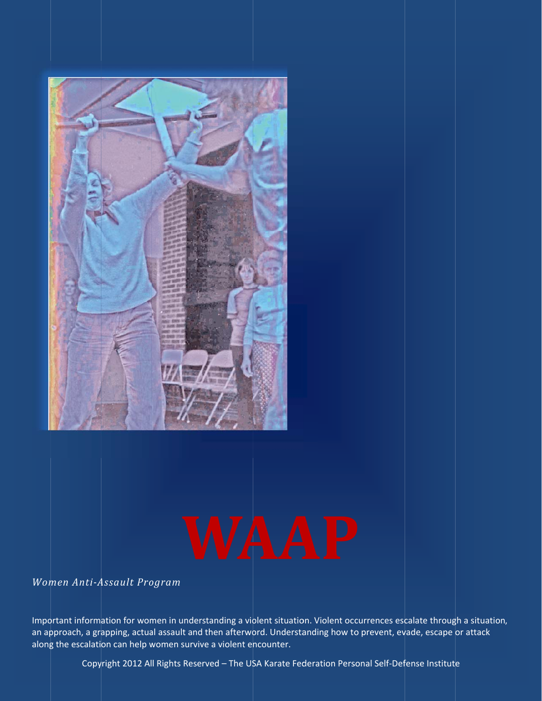

*Wom men Anti‐A Assault Pro ogram*

Important information for women in understanding a violent situation. Violent occurrences escalate through a situation, an approach, a grapping, actual assault and then afterword. Understanding how to prevent, evade, escape or attack along the escalation can help women survive a violent encounter.

Copyright 2012 All Rights Reserved – The USA Karate Federation Personal Self-Defense Institute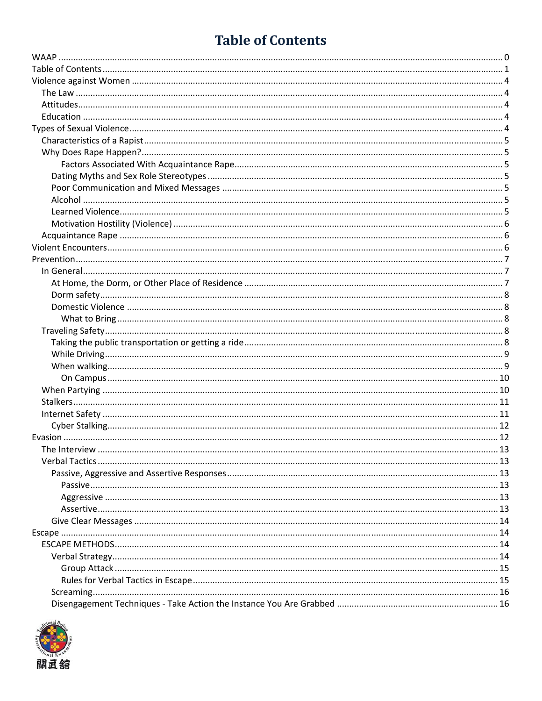# **Table of Contents**

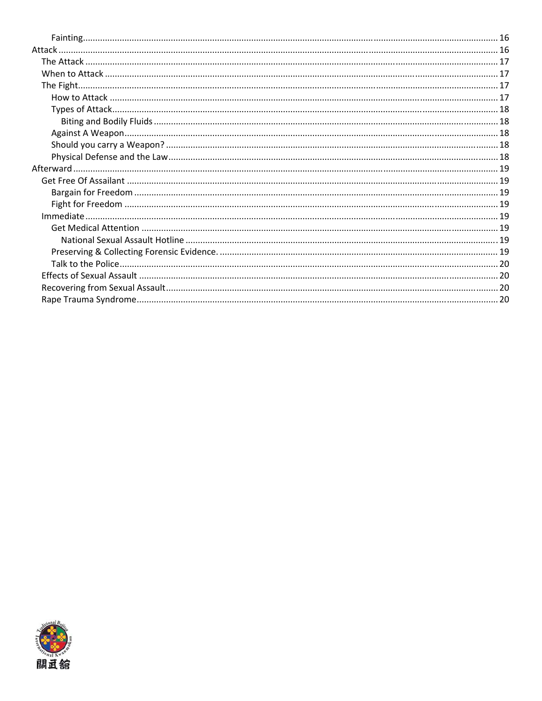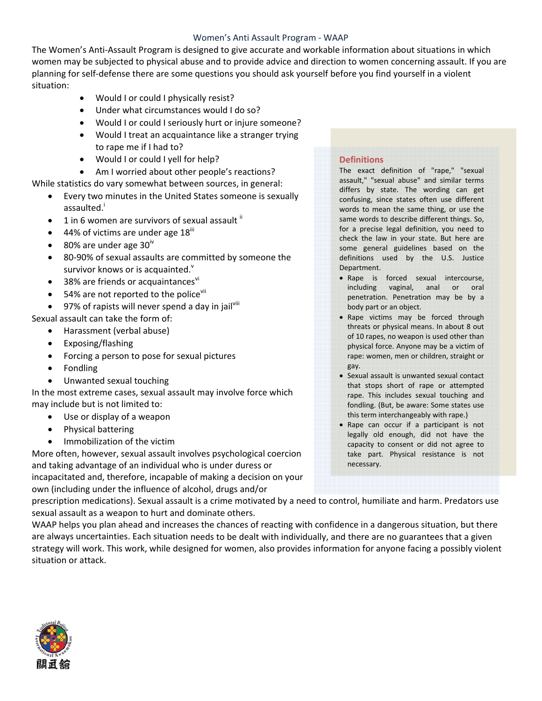#### Women's Anti Assault Program ‐ WAAP

The Women's Anti‐Assault Program is designed to give accurate and workable information about situations in which women may be subjected to physical abuse and to provide advice and direction to women concerning assault. If you are planning for self‐defense there are some questions you should ask yourself before you find yourself in a violent situation:

- Would I or could I physically resist?
- Under what circumstances would I do so?
- Would I or could I seriously hurt or injure someone?
- Would I treat an acquaintance like a stranger trying to rape me if I had to?
- Would I or could I yell for help?
- Am I worried about other people's reactions?
- While statistics do vary somewhat between sources, in general:
	- Every two minutes in the United States someone is sexually assaulted.<sup>i</sup>
	- 1 in 6 women are survivors of sexual assault  $\mathbb{I}$
	- 44% of victims are under age  $18^{\text{iii}}$
	- 80% are under age  $30<sup>iv</sup>$
	- 80-90% of sexual assaults are committed by someone the survivor knows or is acquainted.
	- $\bullet$  38% are friends or acquaintances $\mathrm{v}^{\mathrm{N}}$
	- 54% are not reported to the police<sup>vii</sup>
	- 97% of rapists will never spend a day in jailvill
- Sexual assault can take the form of:
	- Harassment (verbal abuse)
	- Exposing/flashing
	- Forcing a person to pose for sexual pictures
	- Fondling
	- Unwanted sexual touching

In the most extreme cases, sexual assault may involve force which may include but is not limited to:

- Use or display of a weapon
- Physical battering
- Immobilization of the victim

More often, however, sexual assault involves psychological coercion and taking advantage of an individual who is under duress or incapacitated and, therefore, incapable of making a decision on your own (including under the influence of alcohol, drugs and/or

#### **Definitions**

The exact definition of "rape," "sexual assault," "sexual abuse" and similar terms differs by state. The wording can get confusing, since states often use different words to mean the same thing, or use the same words to describe different things. So, for a precise legal definition, you need to check the law in your state. But here are some general guidelines based on the definitions used by the U.S. Justice Department.

- Rape is forced sexual intercourse, including vaginal, anal or oral penetration. Penetration may be by a body part or an object.
- Rape victims may be forced through threats or physical means. In about 8 out of 10 rapes, no weapon is used other than physical force. Anyone may be a victim of rape: women, men or children, straight or gay.
- Sexual assault is unwanted sexual contact that stops short of rape or attempted rape. This includes sexual touching and fondling. (But, be aware: Some states use this term interchangeably with rape.)
- Rape can occur if a participant is not legally old enough, did not have the capacity to consent or did not agree to take part. Physical resistance is not necessary.

prescription medications). Sexual assault is a crime motivated by a need to control, humiliate and harm. Predators use sexual assault as a weapon to hurt and dominate others.

WAAP helps you plan ahead and increases the chances of reacting with confidence in a dangerous situation, but there are always uncertainties. Each situation needs to be dealt with individually, and there are no guarantees that a given strategy will work. This work, while designed for women, also provides information for anyone facing a possibly violent situation or attack.

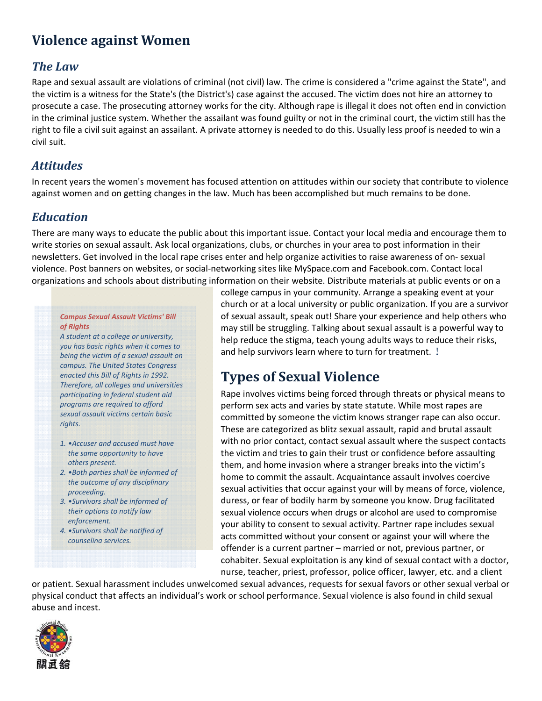## **Violence against Women**

#### *The Law*

Rape and sexual assault are violations of criminal (not civil) law. The crime is considered a "crime against the State", and the victim is a witness for the State's (the District's) case against the accused. The victim does not hire an attorney to prosecute a case. The prosecuting attorney works for the city. Although rape is illegal it does not often end in conviction in the criminal justice system. Whether the assailant was found guilty or not in the criminal court, the victim still has the right to file a civil suit against an assailant. A private attorney is needed to do this. Usually less proof is needed to win a civil suit.

#### *Attitudes*

In recent years the women's movement has focused attention on attitudes within our society that contribute to violence against women and on getting changes in the law. Much has been accomplished but much remains to be done.

#### *Education*

There are many ways to educate the public about this important issue. Contact your local media and encourage them to write stories on sexual assault. Ask local organizations, clubs, or churches in your area to post information in their newsletters. Get involved in the local rape crises enter and help organize activities to raise awareness of on‐ sexual violence. Post banners on websites, or social‐networking sites like MySpace.com and Facebook.com. Contact local organizations and schools about distributing information on their website. Distribute materials at public events or on a

#### *Campus Sexual Assault Victims' Bill of Rights*

*A student at a college or university, you has basic rights when it comes to being the victim of a sexual assault on campus. The United States Congress enacted this Bill of Rights in 1992. Therefore, all colleges and universities participating in federal student aid programs are required to afford sexual assault victims certain basic rights.*

- *1. •Accuser and accused must have the same opportunity to have others present.*
- *2. •Both parties shall be informed of the outcome of any disciplinary proceeding.*
- *3. •Survivors shall be informed of their options to notify law enforcement.*
- *4. •Survivors shall be notified of counseling services.*

college campus in your community. Arrange a speaking event at your church or at a local university or public organization. If you are a survivor of sexual assault, speak out! Share your experience and help others who may still be struggling. Talking about sexual assault is a powerful way to help reduce the stigma, teach young adults ways to reduce their risks, and help survivors learn where to turn for treatment. !

## **Types of Sexual Violence**

Rape involves victims being forced through threats or physical means to perform sex acts and varies by state statute. While most rapes are committed by someone the victim knows stranger rape can also occur. These are categorized as blitz sexual assault, rapid and brutal assault with no prior contact, contact sexual assault where the suspect contacts the victim and tries to gain their trust or confidence before assaulting them, and home invasion where a stranger breaks into the victim's home to commit the assault. Acquaintance assault involves coercive sexual activities that occur against your will by means of force, violence, duress, or fear of bodily harm by someone you know. Drug facilitated sexual violence occurs when drugs or alcohol are used to compromise your ability to consent to sexual activity. Partner rape includes sexual acts committed without your consent or against your will where the offender is a current partner – married or not, previous partner, or cohabiter. Sexual exploitation is any kind of sexual contact with a doctor, nurse, teacher, priest, professor, police officer, lawyer, etc. and a client

or patient. Sexual harassment includes unwelcomed sexual advances, requests for sexual favors or other sexual verbal or physical conduct that affects an individual's work or school performance. Sexual violence is also found in child sexual abuse and incest.

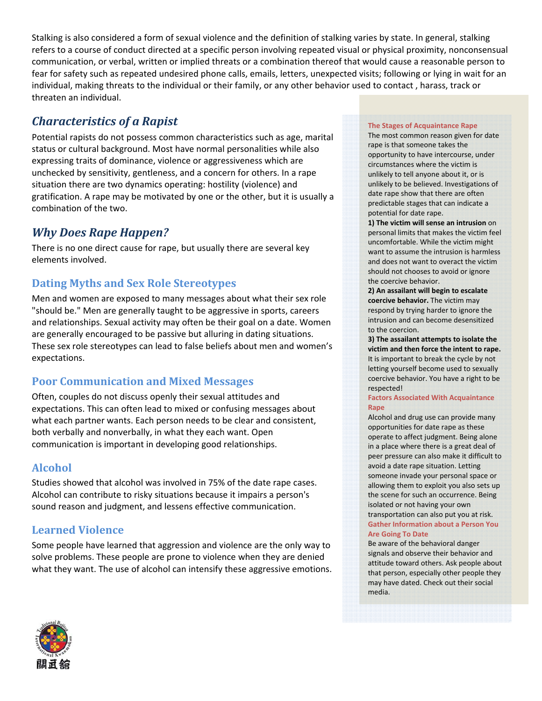Stalking is also considered a form of sexual violence and the definition of stalking varies by state. In general, stalking refers to a course of conduct directed at a specific person involving repeated visual or physical proximity, nonconsensual communication, or verbal, written or implied threats or a combination thereof that would cause a reasonable person to fear for safety such as repeated undesired phone calls, emails, letters, unexpected visits; following or lying in wait for an individual, making threats to the individual or their family, or any other behavior used to contact , harass, track or threaten an individual.

## *Characteristics of a Rapist*

Potential rapists do not possess common characteristics such as age, marital status or cultural background. Most have normal personalities while also expressing traits of dominance, violence or aggressiveness which are unchecked by sensitivity, gentleness, and a concern for others. In a rape situation there are two dynamics operating: hostility (violence) and gratification. A rape may be motivated by one or the other, but it is usually a combination of the two.

#### *Why Does Rape Happen?*

There is no one direct cause for rape, but usually there are several key elements involved.

#### **Dating Myths and Sex Role Stereotypes**

Men and women are exposed to many messages about what their sex role "should be." Men are generally taught to be aggressive in sports, careers and relationships. Sexual activity may often be their goal on a date. Women are generally encouraged to be passive but alluring in dating situations. These sex role stereotypes can lead to false beliefs about men and women's expectations.

#### **Poor Communication and Mixed Messages**

Often, couples do not discuss openly their sexual attitudes and expectations. This can often lead to mixed or confusing messages about what each partner wants. Each person needs to be clear and consistent, both verbally and nonverbally, in what they each want. Open communication is important in developing good relationships.

#### **Alcohol**

Studies showed that alcohol was involved in 75% of the date rape cases. Alcohol can contribute to risky situations because it impairs a person's sound reason and judgment, and lessens effective communication.

#### **Learned Violence**

Some people have learned that aggression and violence are the only way to solve problems. These people are prone to violence when they are denied what they want. The use of alcohol can intensify these aggressive emotions.

#### **The Stages of Acquaintance Rape**

The most common reason given for date rape is that someone takes the opportunity to have intercourse, under circumstances where the victim is unlikely to tell anyone about it, or is unlikely to be believed. Investigations of date rape show that there are often predictable stages that can indicate a potential for date rape.

**1) The victim will sense an intrusion** on personal limits that makes the victim feel uncomfortable. While the victim might want to assume the intrusion is harmless and does not want to overact the victim should not chooses to avoid or ignore the coercive behavior.

**2) An assailant will begin to escalate coercive behavior.** The victim may respond by trying harder to ignore the intrusion and can become desensitized to the coercion.

**3) The assailant attempts to isolate the victim and then force the intent to rape.** It is important to break the cycle by not letting yourself become used to sexually coercive behavior. You have a right to be respected!

#### **Factors Associated With Acquaintance Rape**

Alcohol and drug use can provide many opportunities for date rape as these operate to affect judgment. Being alone in a place where there is a great deal of peer pressure can also make it difficult to avoid a date rape situation. Letting someone invade your personal space or allowing them to exploit you also sets up the scene for such an occurrence. Being isolated or not having your own transportation can also put you at risk. **Gather Information about a Person You Are Going To Date**

Be aware of the behavioral danger signals and observe their behavior and attitude toward others. Ask people about that person, especially other people they may have dated. Check out their social media.

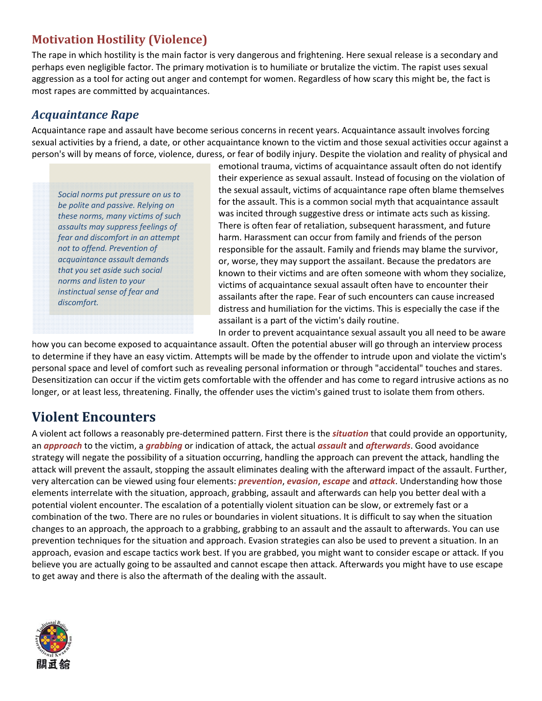## **Motivation Hostility (Violence)**

The rape in which hostility is the main factor is very dangerous and frightening. Here sexual release is a secondary and perhaps even negligible factor. The primary motivation is to humiliate or brutalize the victim. The rapist uses sexual aggression as a tool for acting out anger and contempt for women. Regardless of how scary this might be, the fact is most rapes are committed by acquaintances.

#### *Acquaintance Rape*

Acquaintance rape and assault have become serious concerns in recent years. Acquaintance assault involves forcing sexual activities by a friend, a date, or other acquaintance known to the victim and those sexual activities occur against a person's will by means of force, violence, duress, or fear of bodily injury. Despite the violation and reality of physical and

*Social norms put pressure on us to be polite and passive. Relying on these norms, many victims of such assaults may suppress feelings of fear and discomfort in an attempt not to offend. Prevention of acquaintance assault demands that you set aside such social norms and listen to your instinctual sense of fear and discomfort.*

emotional trauma, victims of acquaintance assault often do not identify their experience as sexual assault. Instead of focusing on the violation of the sexual assault, victims of acquaintance rape often blame themselves for the assault. This is a common social myth that acquaintance assault was incited through suggestive dress or intimate acts such as kissing. There is often fear of retaliation, subsequent harassment, and future harm. Harassment can occur from family and friends of the person responsible for the assault. Family and friends may blame the survivor, or, worse, they may support the assailant. Because the predators are known to their victims and are often someone with whom they socialize, victims of acquaintance sexual assault often have to encounter their assailants after the rape. Fear of such encounters can cause increased distress and humiliation for the victims. This is especially the case if the assailant is a part of the victim's daily routine. In order to prevent acquaintance sexual assault you all need to be aware

how you can become exposed to acquaintance assault. Often the potential abuser will go through an interview process to determine if they have an easy victim. Attempts will be made by the offender to intrude upon and violate the victim's personal space and level of comfort such as revealing personal information or through "accidental" touches and stares. Desensitization can occur if the victim gets comfortable with the offender and has come to regard intrusive actions as no longer, or at least less, threatening. Finally, the offender uses the victim's gained trust to isolate them from others.

## **Violent Encounters**

A violent act follows a reasonably pre‐determined pattern. First there is the *situation* that could provide an opportunity, an *approach* to the victim, a *grabbing* or indication of attack, the actual *assault* and *afterwards*. Good avoidance strategy will negate the possibility of a situation occurring, handling the approach can prevent the attack, handling the attack will prevent the assault, stopping the assault eliminates dealing with the afterward impact of the assault. Further, very altercation can be viewed using four elements: *prevention*, *evasion*, *escape* and *attack*. Understanding how those elements interrelate with the situation, approach, grabbing, assault and afterwards can help you better deal with a potential violent encounter. The escalation of a potentially violent situation can be slow, or extremely fast or a combination of the two. There are no rules or boundaries in violent situations. It is difficult to say when the situation changes to an approach, the approach to a grabbing, grabbing to an assault and the assault to afterwards. You can use prevention techniques for the situation and approach. Evasion strategies can also be used to prevent a situation. In an approach, evasion and escape tactics work best. If you are grabbed, you might want to consider escape or attack. If you believe you are actually going to be assaulted and cannot escape then attack. Afterwards you might have to use escape to get away and there is also the aftermath of the dealing with the assault.

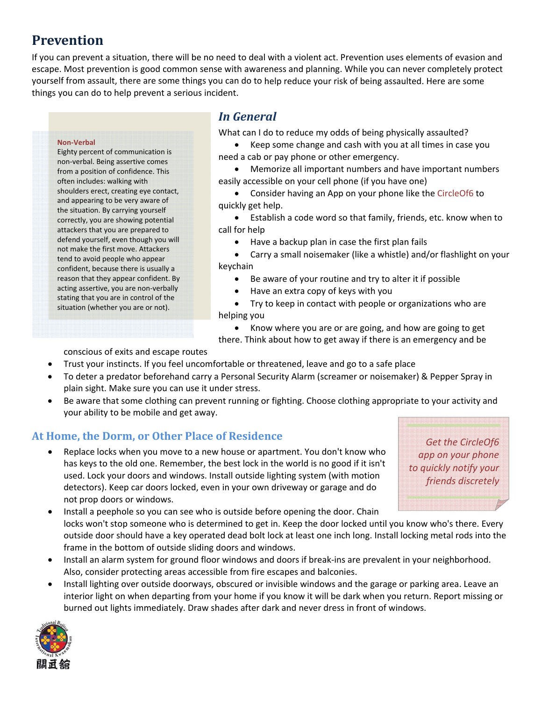## **Prevention**

If you can prevent a situation, there will be no need to deal with a violent act. Prevention uses elements of evasion and escape. Most prevention is good common sense with awareness and planning. While you can never completely protect yourself from assault, there are some things you can do to help reduce your risk of being assaulted. Here are some things you can do to help prevent a serious incident.

#### **Non‐Verbal**

Eighty percent of communication is non‐verbal. Being assertive comes from a position of confidence. This often includes: walking with shoulders erect, creating eye contact, and appearing to be very aware of the situation. By carrying yourself correctly, you are showing potential attackers that you are prepared to defend yourself, even though you will not make the first move. Attackers tend to avoid people who appear confident, because there is usually a reason that they appear confident. By acting assertive, you are non‐verbally stating that you are in control of the situation (whether you are or not).

#### *In General*

What can I do to reduce my odds of being physically assaulted?

• Keep some change and cash with you at all times in case you need a cab or pay phone or other emergency.

• Memorize all important numbers and have important numbers easily accessible on your cell phone (if you have one)

• Consider having an App on your phone like the CircleOf6 to quickly get help.

• Establish a code word so that family, friends, etc. know when to call for help

• Have a backup plan in case the first plan fails

• Carry a small noisemaker (like a whistle) and/or flashlight on your keychain

- Be aware of your routine and try to alter it if possible
- Have an extra copy of keys with you
- Try to keep in contact with people or organizations who are helping you

• Know where you are or are going, and how are going to get

there. Think about how to get away if there is an emergency and be

conscious of exits and escape routes

- Trust your instincts. If you feel uncomfortable or threatened, leave and go to a safe place
- To deter a predator beforehand carry a Personal Security Alarm (screamer or noisemaker) & Pepper Spray in plain sight. Make sure you can use it under stress.
- Be aware that some clothing can prevent running or fighting. Choose clothing appropriate to your activity and your ability to be mobile and get away.

#### **At Home, the Dorm, or Other Place of Residence**

• Replace locks when you move to a new house or apartment. You don't know who has keys to the old one. Remember, the best lock in the world is no good if it isn't used. Lock your doors and windows. Install outside lighting system (with motion detectors). Keep car doors locked, even in your own driveway or garage and do not prop doors or windows.

*Get the CircleOf6 app on your phone to quickly notify your friends discretely*

• Install a peephole so you can see who is outside before opening the door. Chain locks won't stop someone who is determined to get in. Keep the door locked until you know who's there. Every outside door should have a key operated dead bolt lock at least one inch long. Install locking metal rods into the frame in the bottom of outside sliding doors and windows.

- Install an alarm system for ground floor windows and doors if break‐ins are prevalent in your neighborhood. Also, consider protecting areas accessible from fire escapes and balconies.
- Install lighting over outside doorways, obscured or invisible windows and the garage or parking area. Leave an interior light on when departing from your home if you know it will be dark when you return. Report missing or burned out lights immediately. Draw shades after dark and never dress in front of windows.

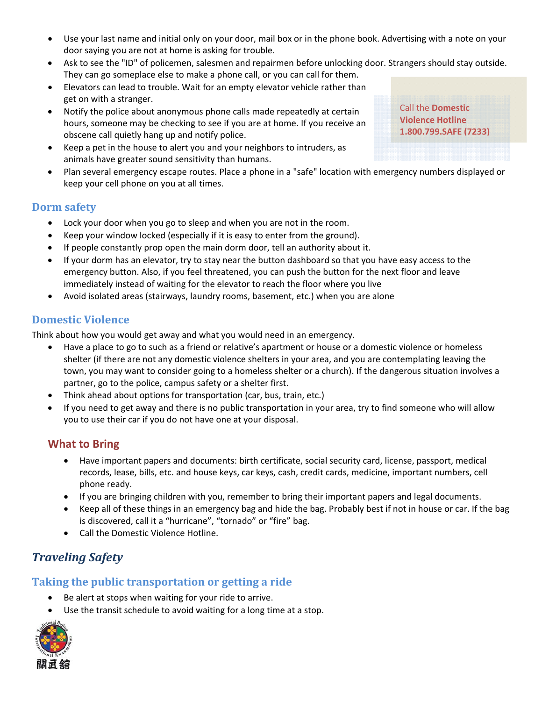- Use your last name and initial only on your door, mail box or in the phone book. Advertising with a note on your door saying you are not at home is asking for trouble.
- Ask to see the "ID" of policemen, salesmen and repairmen before unlocking door. Strangers should stay outside. They can go someplace else to make a phone call, or you can call for them.
- Elevators can lead to trouble. Wait for an empty elevator vehicle rather than get on with a stranger.
- Notify the police about anonymous phone calls made repeatedly at certain hours, someone may be checking to see if you are at home. If you receive an obscene call quietly hang up and notify police.
- Keep a pet in the house to alert you and your neighbors to intruders, as animals have greater sound sensitivity than humans.
- Plan several emergency escape routes. Place a phone in a "safe" location with emergency numbers displayed or keep your cell phone on you at all times.

#### **Dorm safety**

- Lock your door when you go to sleep and when you are not in the room.
- Keep your window locked (especially if it is easy to enter from the ground).
- If people constantly prop open the main dorm door, tell an authority about it.
- If your dorm has an elevator, try to stay near the button dashboard so that you have easy access to the emergency button. Also, if you feel threatened, you can push the button for the next floor and leave immediately instead of waiting for the elevator to reach the floor where you live
- Avoid isolated areas (stairways, laundry rooms, basement, etc.) when you are alone

#### **Domestic Violence**

Think about how you would get away and what you would need in an emergency.

- Have a place to go to such as a friend or relative's apartment or house or a domestic violence or homeless shelter (if there are not any domestic violence shelters in your area, and you are contemplating leaving the town, you may want to consider going to a homeless shelter or a church). If the dangerous situation involves a partner, go to the police, campus safety or a shelter first.
- Think ahead about options for transportation (car, bus, train, etc.)
- If you need to get away and there is no public transportation in your area, try to find someone who will allow you to use their car if you do not have one at your disposal.

#### **What to Bring**

- Have important papers and documents: birth certificate, social security card, license, passport, medical records, lease, bills, etc. and house keys, car keys, cash, credit cards, medicine, important numbers, cell phone ready.
- If you are bringing children with you, remember to bring their important papers and legal documents.
- Keep all of these things in an emergency bag and hide the bag. Probably best if not in house or car. If the bag is discovered, call it a "hurricane", "tornado" or "fire" bag.
- Call the Domestic Violence Hotline.

## *Traveling Safety*

#### **Taking the public transportation or getting a ride**

- Be alert at stops when waiting for your ride to arrive.
- Use the transit schedule to avoid waiting for a long time at a stop.



Call the **Domestic Violence Hotline 1.800.799.SAFE (7233)**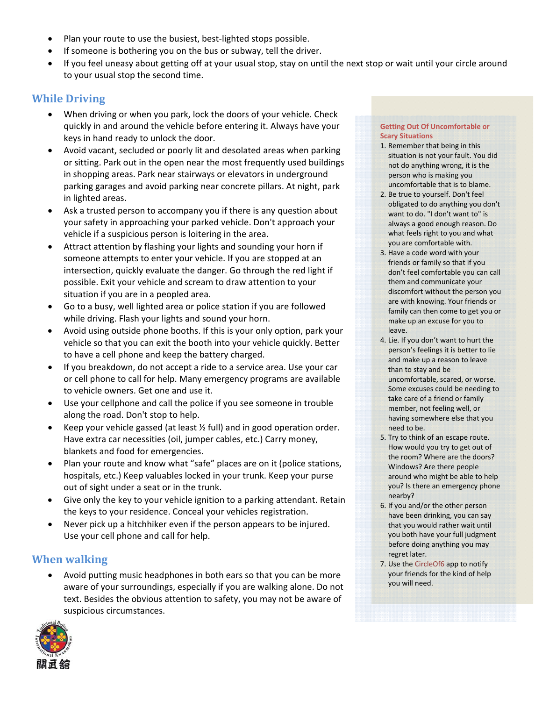- Plan your route to use the busiest, best-lighted stops possible.
- If someone is bothering you on the bus or subway, tell the driver.
- If you feel uneasy about getting off at your usual stop, stay on until the next stop or wait until your circle around to your usual stop the second time.

#### **While Driving**

- When driving or when you park, lock the doors of your vehicle. Check quickly in and around the vehicle before entering it. Always have your keys in hand ready to unlock the door.
- Avoid vacant, secluded or poorly lit and desolated areas when parking or sitting. Park out in the open near the most frequently used buildings in shopping areas. Park near stairways or elevators in underground parking garages and avoid parking near concrete pillars. At night, park in lighted areas.
- Ask a trusted person to accompany you if there is any question about your safety in approaching your parked vehicle. Don't approach your vehicle if a suspicious person is loitering in the area.
- Attract attention by flashing your lights and sounding your horn if someone attempts to enter your vehicle. If you are stopped at an intersection, quickly evaluate the danger. Go through the red light if possible. Exit your vehicle and scream to draw attention to your situation if you are in a peopled area.
- Go to a busy, well lighted area or police station if you are followed while driving. Flash your lights and sound your horn.
- Avoid using outside phone booths. If this is your only option, park your vehicle so that you can exit the booth into your vehicle quickly. Better to have a cell phone and keep the battery charged.
- If you breakdown, do not accept a ride to a service area. Use your car or cell phone to call for help. Many emergency programs are available to vehicle owners. Get one and use it.
- Use your cellphone and call the police if you see someone in trouble along the road. Don't stop to help.
- Keep your vehicle gassed (at least  $\frac{1}{2}$  full) and in good operation order. Have extra car necessities (oil, jumper cables, etc.) Carry money, blankets and food for emergencies.
- Plan your route and know what "safe" places are on it (police stations, hospitals, etc.) Keep valuables locked in your trunk. Keep your purse out of sight under a seat or in the trunk.
- Give only the key to your vehicle ignition to a parking attendant. Retain the keys to your residence. Conceal your vehicles registration.
- Never pick up a hitchhiker even if the person appears to be injured. Use your cell phone and call for help.

#### **When walking**

• Avoid putting music headphones in both ears so that you can be more aware of your surroundings, especially if you are walking alone. Do not text. Besides the obvious attention to safety, you may not be aware of suspicious circumstances.



#### **Getting Out Of Uncomfortable or Scary Situations**

- 1. Remember that being in this situation is not your fault. You did not do anything wrong, it is the person who is making you uncomfortable that is to blame.
- 2. Be true to yourself. Don't feel obligated to do anything you don't want to do. "I don't want to" is always a good enough reason. Do what feels right to you and what you are comfortable with.
- 3. Have a code word with your friends or family so that if you don't feel comfortable you can call them and communicate your discomfort without the person you are with knowing. Your friends or family can then come to get you or make up an excuse for you to leave.
- 4. Lie. If you don't want to hurt the person's feelings it is better to lie and make up a reason to leave than to stay and be uncomfortable, scared, or worse. Some excuses could be needing to take care of a friend or family member, not feeling well, or having somewhere else that you need to be.
- 5. Try to think of an escape route. How would you try to get out of the room? Where are the doors? Windows? Are there people around who might be able to help you? Is there an emergency phone nearby?
- 6. If you and/or the other person have been drinking, you can say that you would rather wait until you both have your full judgment before doing anything you may regret later.
- 7. Use the CircleOf6 app to notify your friends for the kind of help you will need.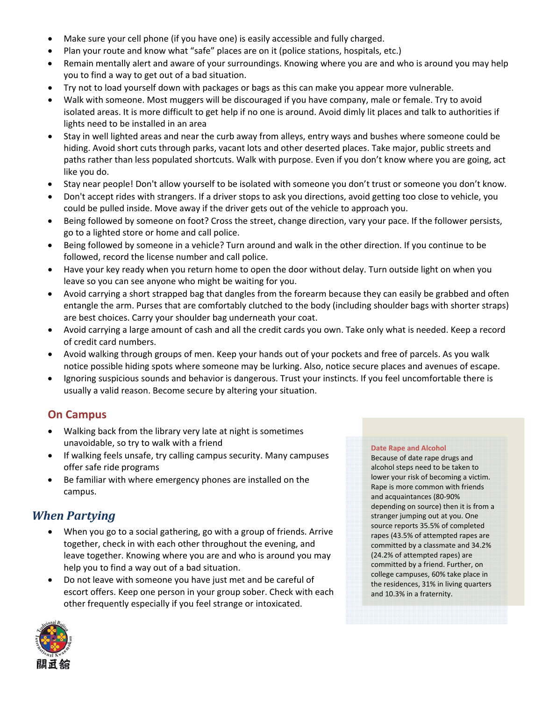- Make sure your cell phone (if you have one) is easily accessible and fully charged.
- Plan your route and know what "safe" places are on it (police stations, hospitals, etc.)
- Remain mentally alert and aware of your surroundings. Knowing where you are and who is around you may help you to find a way to get out of a bad situation.
- Try not to load yourself down with packages or bags as this can make you appear more vulnerable.
- Walk with someone. Most muggers will be discouraged if you have company, male or female. Try to avoid isolated areas. It is more difficult to get help if no one is around. Avoid dimly lit places and talk to authorities if lights need to be installed in an area
- Stay in well lighted areas and near the curb away from alleys, entry ways and bushes where someone could be hiding. Avoid short cuts through parks, vacant lots and other deserted places. Take major, public streets and paths rather than less populated shortcuts. Walk with purpose. Even if you don't know where you are going, act like you do.
- Stay near people! Don't allow yourself to be isolated with someone you don't trust or someone you don't know.
- Don't accept rides with strangers. If a driver stops to ask you directions, avoid getting too close to vehicle, you could be pulled inside. Move away if the driver gets out of the vehicle to approach you.
- Being followed by someone on foot? Cross the street, change direction, vary your pace. If the follower persists, go to a lighted store or home and call police.
- Being followed by someone in a vehicle? Turn around and walk in the other direction. If you continue to be followed, record the license number and call police.
- Have your key ready when you return home to open the door without delay. Turn outside light on when you leave so you can see anyone who might be waiting for you.
- Avoid carrying a short strapped bag that dangles from the forearm because they can easily be grabbed and often entangle the arm. Purses that are comfortably clutched to the body (including shoulder bags with shorter straps) are best choices. Carry your shoulder bag underneath your coat.
- Avoid carrying a large amount of cash and all the credit cards you own. Take only what is needed. Keep a record of credit card numbers.
- Avoid walking through groups of men. Keep your hands out of your pockets and free of parcels. As you walk notice possible hiding spots where someone may be lurking. Also, notice secure places and avenues of escape.
- Ignoring suspicious sounds and behavior is dangerous. Trust your instincts. If you feel uncomfortable there is usually a valid reason. Become secure by altering your situation.

### **On Campus**

- Walking back from the library very late at night is sometimes unavoidable, so try to walk with a friend
- If walking feels unsafe, try calling campus security. Many campuses offer safe ride programs
- Be familiar with where emergency phones are installed on the campus.

## *When Partying*

- When you go to a social gathering, go with a group of friends. Arrive together, check in with each other throughout the evening, and leave together. Knowing where you are and who is around you may help you to find a way out of a bad situation.
- Do not leave with someone you have just met and be careful of escort offers. Keep one person in your group sober. Check with each other frequently especially if you feel strange or intoxicated.

#### **Date Rape and Alcohol**

Because of date rape drugs and alcohol steps need to be taken to lower your risk of becoming a victim. Rape is more common with friends and acquaintances (80‐90% depending on source) then it is from a stranger jumping out at you. One source reports 35.5% of completed rapes (43.5% of attempted rapes are committed by a classmate and 34.2% (24.2% of attempted rapes) are committed by a friend. Further, on college campuses, 60% take place in the residences, 31% in living quarters and 10.3% in a fraternity.

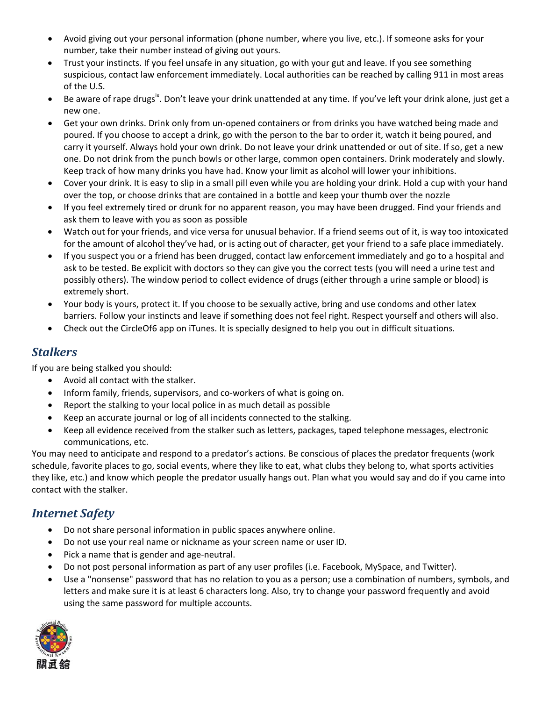- Avoid giving out your personal information (phone number, where you live, etc.). If someone asks for your number, take their number instead of giving out yours.
- Trust your instincts. If you feel unsafe in any situation, go with your gut and leave. If you see something suspicious, contact law enforcement immediately. Local authorities can be reached by calling 911 in most areas of the U.S.
- Be aware of rape drugs<sup>ix</sup>. Don't leave your drink unattended at any time. If you've left your drink alone, just get a new one.
- Get your own drinks. Drink only from un‐opened containers or from drinks you have watched being made and poured. If you choose to accept a drink, go with the person to the bar to order it, watch it being poured, and carry it yourself. Always hold your own drink. Do not leave your drink unattended or out of site. If so, get a new one. Do not drink from the punch bowls or other large, common open containers. Drink moderately and slowly. Keep track of how many drinks you have had. Know your limit as alcohol will lower your inhibitions.
- Cover your drink. It is easy to slip in a small pill even while you are holding your drink. Hold a cup with your hand over the top, or choose drinks that are contained in a bottle and keep your thumb over the nozzle
- If you feel extremely tired or drunk for no apparent reason, you may have been drugged. Find your friends and ask them to leave with you as soon as possible
- Watch out for your friends, and vice versa for unusual behavior. If a friend seems out of it, is way too intoxicated for the amount of alcohol they've had, or is acting out of character, get your friend to a safe place immediately.
- If you suspect you or a friend has been drugged, contact law enforcement immediately and go to a hospital and ask to be tested. Be explicit with doctors so they can give you the correct tests (you will need a urine test and possibly others). The window period to collect evidence of drugs (either through a urine sample or blood) is extremely short.
- Your body is yours, protect it. If you choose to be sexually active, bring and use condoms and other latex barriers. Follow your instincts and leave if something does not feel right. Respect yourself and others will also.
- Check out the CircleOf6 app on iTunes. It is specially designed to help you out in difficult situations.

#### *Stalkers*

If you are being stalked you should:

- Avoid all contact with the stalker.
- Inform family, friends, supervisors, and co-workers of what is going on.
- Report the stalking to your local police in as much detail as possible
- Keep an accurate journal or log of all incidents connected to the stalking.
- Keep all evidence received from the stalker such as letters, packages, taped telephone messages, electronic communications, etc.

You may need to anticipate and respond to a predator's actions. Be conscious of places the predator frequents (work schedule, favorite places to go, social events, where they like to eat, what clubs they belong to, what sports activities they like, etc.) and know which people the predator usually hangs out. Plan what you would say and do if you came into contact with the stalker.

### *Internet Safety*

- Do not share personal information in public spaces anywhere online.
- Do not use your real name or nickname as your screen name or user ID.
- Pick a name that is gender and age‐neutral.
- Do not post personal information as part of any user profiles (i.e. Facebook, MySpace, and Twitter).
- Use a "nonsense" password that has no relation to you as a person; use a combination of numbers, symbols, and letters and make sure it is at least 6 characters long. Also, try to change your password frequently and avoid using the same password for multiple accounts.

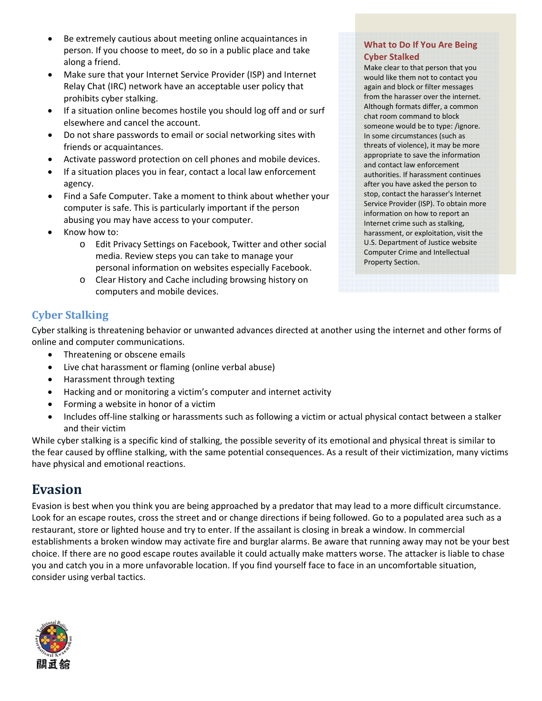- Be extremely cautious about meeting online acquaintances in person. If you choose to meet, do so in a public place and take along a friend.
- Make sure that your Internet Service Provider (ISP) and Internet Relay Chat (IRC) network have an acceptable user policy that prohibits cyber stalking.
- If a situation online becomes hostile you should log off and or surf elsewhere and cancel the account.
- Do not share passwords to email or social networking sites with friends or acquaintances.
- Activate password protection on cell phones and mobile devices.
- If a situation places you in fear, contact a local law enforcement agency.
- Find a Safe Computer. Take a moment to think about whether your computer is safe. This is particularly important if the person abusing you may have access to your computer.
- Know how to:
	- o Edit Privacy Settings on Facebook, Twitter and other social media. Review steps you can take to manage your personal information on websites especially Facebook.
	- o Clear History and Cache including browsing history on computers and mobile devices.

#### **What to Do If You Are Being Cyber Stalked**

Make clear to that person that you would like them not to contact you again and block or filter messages from the harasser over the internet. Although formats differ, a common chat room command to block someone would be to type: /ignore. In some circumstances (such as threats of violence), it may be more appropriate to save the information and contact law enforcement authorities. If harassment continues after you have asked the person to stop, contact the harasser's Internet Service Provider (ISP). To obtain more information on how to report an Internet crime such as stalking, harassment, or exploitation, visit the U.S. Department of Justice website Computer Crime and Intellectual Property Section.

### **Cyber Stalking**

Cyber stalking is threatening behavior or unwanted advances directed at another using the internet and other forms of online and computer communications.

- Threatening or obscene emails
- Live chat harassment or flaming (online verbal abuse)
- Harassment through texting
- Hacking and or monitoring a victim's computer and internet activity
- Forming a website in honor of a victim
- Includes off-line stalking or harassments such as following a victim or actual physical contact between a stalker and their victim

While cyber stalking is a specific kind of stalking, the possible severity of its emotional and physical threat is similar to the fear caused by offline stalking, with the same potential consequences. As a result of their victimization, many victims have physical and emotional reactions.

## **Evasion**

Evasion is best when you think you are being approached by a predator that may lead to a more difficult circumstance. Look for an escape routes, cross the street and or change directions if being followed. Go to a populated area such as a restaurant, store or lighted house and try to enter. If the assailant is closing in break a window. In commercial establishments a broken window may activate fire and burglar alarms. Be aware that running away may not be your best choice. If there are no good escape routes available it could actually make matters worse. The attacker is liable to chase you and catch you in a more unfavorable location. If you find yourself face to face in an uncomfortable situation, consider using verbal tactics.

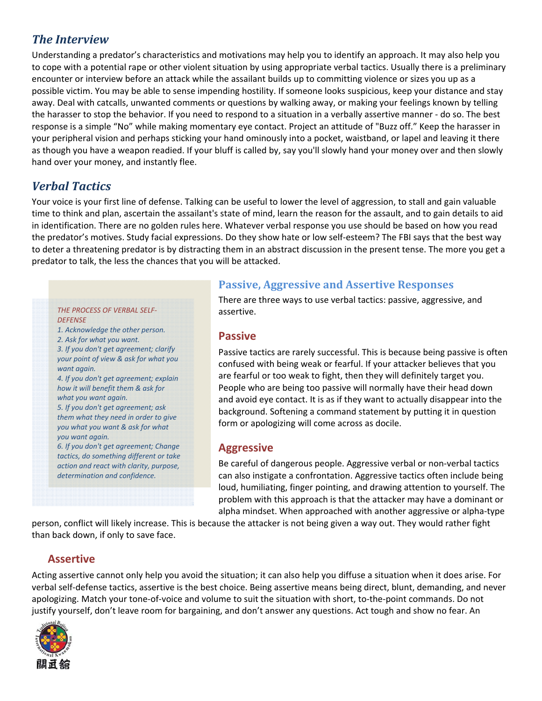## *The Interview*

Understanding a predator's characteristics and motivations may help you to identify an approach. It may also help you to cope with a potential rape or other violent situation by using appropriate verbal tactics. Usually there is a preliminary encounter or interview before an attack while the assailant builds up to committing violence or sizes you up as a possible victim. You may be able to sense impending hostility. If someone looks suspicious, keep your distance and stay away. Deal with catcalls, unwanted comments or questions by walking away, or making your feelings known by telling the harasser to stop the behavior. If you need to respond to a situation in a verbally assertive manner ‐ do so. The best response is a simple "No" while making momentary eye contact. Project an attitude of "Buzz off." Keep the harasser in your peripheral vision and perhaps sticking your hand ominously into a pocket, waistband, or lapel and leaving it there as though you have a weapon readied. If your bluff is called by, say you'll slowly hand your money over and then slowly hand over your money, and instantly flee.

## *Verbal Tactics*

Your voice is your first line of defense. Talking can be useful to lower the level of aggression, to stall and gain valuable time to think and plan, ascertain the assailant's state of mind, learn the reason for the assault, and to gain details to aid in identification. There are no golden rules here. Whatever verbal response you use should be based on how you read the predator's motives. Study facial expressions. Do they show hate or low self‐esteem? The FBI says that the best way to deter a threatening predator is by distracting them in an abstract discussion in the present tense. The more you get a predator to talk, the less the chances that you will be attacked.

#### *THE PROCESS OF VERBAL SELF‐ DEFENSE*

*1. Acknowledge the other person.*

*2. Ask for what you want.*

*3. If you don't get agreement; clarify your point of view & ask for what you want again.*

*4. If you don't get agreement; explain how it will benefit them & ask for what you want again.*

*5. If you don't get agreement; ask them what they need in order to give you what you want & ask for what you want again.*

*6. If you don't get agreement; Change tactics, do something different or take action and react with clarity, purpose, determination and confidence.*

#### **Passive, Aggressive and Assertive Responses**

There are three ways to use verbal tactics: passive, aggressive, and assertive.

#### **Passive**

Passive tactics are rarely successful. This is because being passive is often confused with being weak or fearful. If your attacker believes that you are fearful or too weak to fight, then they will definitely target you. People who are being too passive will normally have their head down and avoid eye contact. It is as if they want to actually disappear into the background. Softening a command statement by putting it in question form or apologizing will come across as docile.

#### **Aggressive**

Be careful of dangerous people. Aggressive verbal or non‐verbal tactics can also instigate a confrontation. Aggressive tactics often include being loud, humiliating, finger pointing, and drawing attention to yourself. The problem with this approach is that the attacker may have a dominant or alpha mindset. When approached with another aggressive or alpha‐type

person, conflict will likely increase. This is because the attacker is not being given a way out. They would rather fight than back down, if only to save face.

### **Assertive**

Acting assertive cannot only help you avoid the situation; it can also help you diffuse a situation when it does arise. For verbal self‐defense tactics, assertive is the best choice. Being assertive means being direct, blunt, demanding, and never apologizing. Match your tone-of-voice and volume to suit the situation with short, to-the-point commands. Do not justify yourself, don't leave room for bargaining, and don't answer any questions. Act tough and show no fear. An

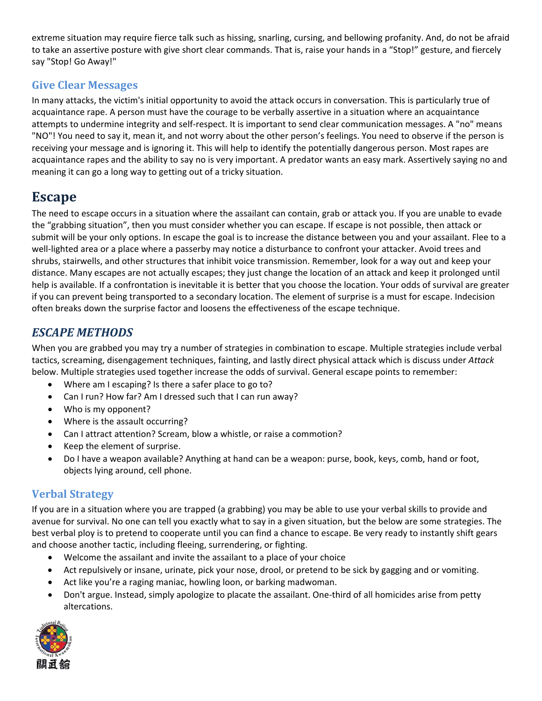extreme situation may require fierce talk such as hissing, snarling, cursing, and bellowing profanity. And, do not be afraid to take an assertive posture with give short clear commands. That is, raise your hands in a "Stop!" gesture, and fiercely say "Stop! Go Away!"

#### **Give Clear Messages**

In many attacks, the victim's initial opportunity to avoid the attack occurs in conversation. This is particularly true of acquaintance rape. A person must have the courage to be verbally assertive in a situation where an acquaintance attempts to undermine integrity and self‐respect. It is important to send clear communication messages. A "no" means "NO"! You need to say it, mean it, and not worry about the other person's feelings. You need to observe if the person is receiving your message and is ignoring it. This will help to identify the potentially dangerous person. Most rapes are acquaintance rapes and the ability to say no is very important. A predator wants an easy mark. Assertively saying no and meaning it can go a long way to getting out of a tricky situation.

## **Escape**

The need to escape occurs in a situation where the assailant can contain, grab or attack you. If you are unable to evade the "grabbing situation", then you must consider whether you can escape. If escape is not possible, then attack or submit will be your only options. In escape the goal is to increase the distance between you and your assailant. Flee to a well-lighted area or a place where a passerby may notice a disturbance to confront your attacker. Avoid trees and shrubs, stairwells, and other structures that inhibit voice transmission. Remember, look for a way out and keep your distance. Many escapes are not actually escapes; they just change the location of an attack and keep it prolonged until help is available. If a confrontation is inevitable it is better that you choose the location. Your odds of survival are greater if you can prevent being transported to a secondary location. The element of surprise is a must for escape. Indecision often breaks down the surprise factor and loosens the effectiveness of the escape technique.

### *ESCAPE METHODS*

When you are grabbed you may try a number of strategies in combination to escape. Multiple strategies include verbal tactics, screaming, disengagement techniques, fainting, and lastly direct physical attack which is discuss under *Attack* below. Multiple strategies used together increase the odds of survival. General escape points to remember:

- Where am I escaping? Is there a safer place to go to?
- Can I run? How far? Am I dressed such that I can run away?
- Who is my opponent?
- Where is the assault occurring?
- Can I attract attention? Scream, blow a whistle, or raise a commotion?
- Keep the element of surprise.
- Do I have a weapon available? Anything at hand can be a weapon: purse, book, keys, comb, hand or foot, objects lying around, cell phone.

#### **Verbal Strategy**

If you are in a situation where you are trapped (a grabbing) you may be able to use your verbal skills to provide and avenue for survival. No one can tell you exactly what to say in a given situation, but the below are some strategies. The best verbal ploy is to pretend to cooperate until you can find a chance to escape. Be very ready to instantly shift gears and choose another tactic, including fleeing, surrendering, or fighting.

- Welcome the assailant and invite the assailant to a place of your choice
- Act repulsively or insane, urinate, pick your nose, drool, or pretend to be sick by gagging and or vomiting.
- Act like you're a raging maniac, howling loon, or barking madwoman.
- Don't argue. Instead, simply apologize to placate the assailant. One‐third of all homicides arise from petty altercations.

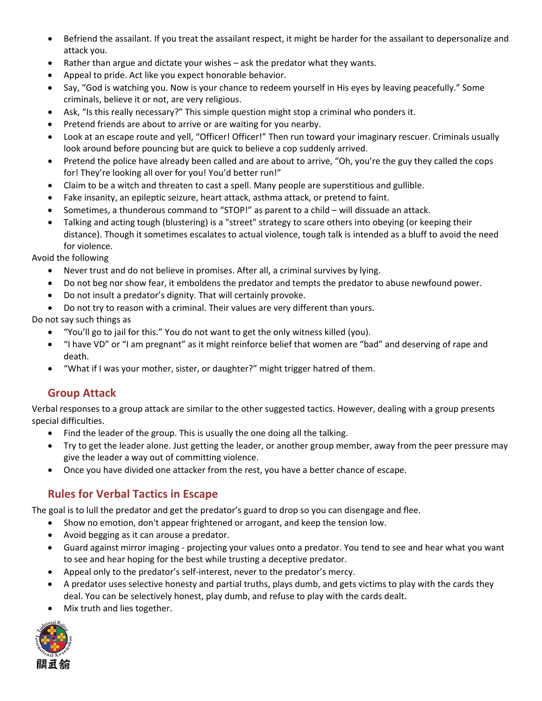- Befriend the assailant. If you treat the assailant respect, it might be harder for the assailant to depersonalize and attack you.
- Rather than argue and dictate your wishes ask the predator what they wants.
- Appeal to pride. Act like you expect honorable behavior.
- Say, "God is watching you. Now is your chance to redeem yourself in His eyes by leaving peacefully." Some criminals, believe it or not, are very religious.
- Ask, "Is this really necessary?" This simple question might stop a criminal who ponders it.
- Pretend friends are about to arrive or are waiting for you nearby.
- Look at an escape route and yell, "Officer! Officer!" Then run toward your imaginary rescuer. Criminals usually look around before pouncing but are quick to believe a cop suddenly arrived.
- Pretend the police have already been called and are about to arrive, "Oh, you're the guy they called the cops for! They're looking all over for you! You'd better run!"
- Claim to be a witch and threaten to cast a spell. Many people are superstitious and gullible.
- Fake insanity, an epileptic seizure, heart attack, asthma attack, or pretend to faint.
- Sometimes, a thunderous command to "STOP!" as parent to a child will dissuade an attack.
- Talking and acting tough (blustering) is a "street" strategy to scare others into obeying (or keeping their distance). Though it sometimes escalates to actual violence, tough talk is intended as a bluff to avoid the need for violence.

Avoid the following

- Never trust and do not believe in promises. After all, a criminal survives by lying.
- Do not beg nor show fear, it emboldens the predator and tempts the predator to abuse newfound power.
- Do not insult a predator's dignity. That will certainly provoke.
- Do not try to reason with a criminal. Their values are very different than yours.

Do not say such things as

- "You'll go to jail for this." You do not want to get the only witness killed (you).
- "I have VD" or "I am pregnant" as it might reinforce belief that women are "bad" and deserving of rape and death.
- "What if I was your mother, sister, or daughter?" might trigger hatred of them.

#### **Group Attack**

Verbal responses to a group attack are similar to the other suggested tactics. However, dealing with a group presents special difficulties.

- Find the leader of the group. This is usually the one doing all the talking.
- Try to get the leader alone. Just getting the leader, or another group member, away from the peer pressure may give the leader a way out of committing violence.
- Once you have divided one attacker from the rest, you have a better chance of escape.

#### **Rules for Verbal Tactics in Escape**

The goal is to lull the predator and get the predator's guard to drop so you can disengage and flee.

- Show no emotion, don't appear frightened or arrogant, and keep the tension low.
- Avoid begging as it can arouse a predator.
- Guard against mirror imaging ‐ projecting your values onto a predator. You tend to see and hear what you want to see and hear hoping for the best while trusting a deceptive predator.
- Appeal only to the predator's self-interest, never to the predator's mercy.
- A predator uses selective honesty and partial truths, plays dumb, and gets victims to play with the cards they deal. You can be selectively honest, play dumb, and refuse to play with the cards dealt.
- Mix truth and lies together.

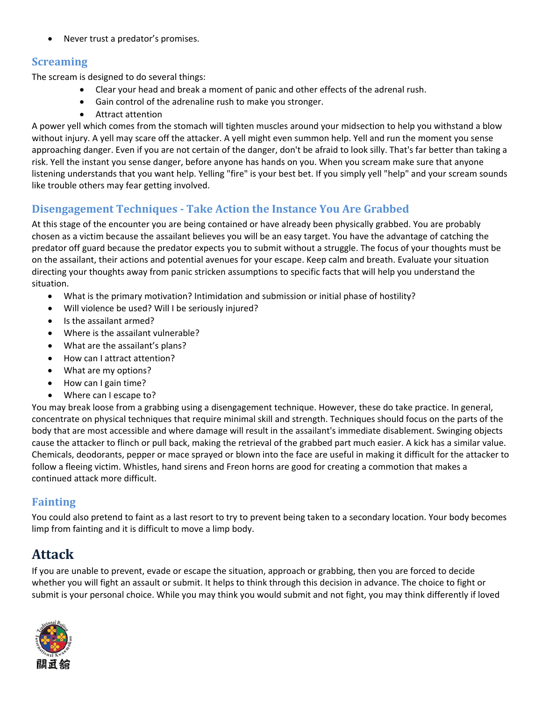• Never trust a predator's promises.

#### **Screaming**

The scream is designed to do several things:

- Clear your head and break a moment of panic and other effects of the adrenal rush.
- Gain control of the adrenaline rush to make you stronger.
- Attract attention

A power yell which comes from the stomach will tighten muscles around your midsection to help you withstand a blow without injury. A yell may scare off the attacker. A yell might even summon help. Yell and run the moment you sense approaching danger. Even if you are not certain of the danger, don't be afraid to look silly. That's far better than taking a risk. Yell the instant you sense danger, before anyone has hands on you. When you scream make sure that anyone listening understands that you want help. Yelling "fire" is your best bet. If you simply yell "help" and your scream sounds like trouble others may fear getting involved.

### **Disengagement Techniques ‐ Take Action the Instance You Are Grabbed**

At this stage of the encounter you are being contained or have already been physically grabbed. You are probably chosen as a victim because the assailant believes you will be an easy target. You have the advantage of catching the predator off guard because the predator expects you to submit without a struggle. The focus of your thoughts must be on the assailant, their actions and potential avenues for your escape. Keep calm and breath. Evaluate your situation directing your thoughts away from panic stricken assumptions to specific facts that will help you understand the situation.

- What is the primary motivation? Intimidation and submission or initial phase of hostility?
- Will violence be used? Will I be seriously injured?
- Is the assailant armed?
- Where is the assailant vulnerable?
- What are the assailant's plans?
- How can I attract attention?
- What are my options?
- How can I gain time?
- Where can I escape to?

You may break loose from a grabbing using a disengagement technique. However, these do take practice. In general, concentrate on physical techniques that require minimal skill and strength. Techniques should focus on the parts of the body that are most accessible and where damage will result in the assailant's immediate disablement. Swinging objects cause the attacker to flinch or pull back, making the retrieval of the grabbed part much easier. A kick has a similar value. Chemicals, deodorants, pepper or mace sprayed or blown into the face are useful in making it difficult for the attacker to follow a fleeing victim. Whistles, hand sirens and Freon horns are good for creating a commotion that makes a continued attack more difficult.

#### **Fainting**

You could also pretend to faint as a last resort to try to prevent being taken to a secondary location. Your body becomes limp from fainting and it is difficult to move a limp body.

## **Attack**

If you are unable to prevent, evade or escape the situation, approach or grabbing, then you are forced to decide whether you will fight an assault or submit. It helps to think through this decision in advance. The choice to fight or submit is your personal choice. While you may think you would submit and not fight, you may think differently if loved

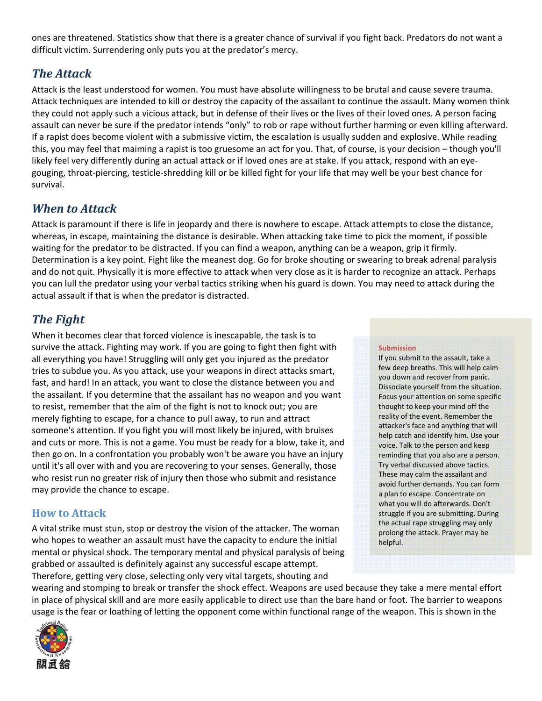ones are threatened. Statistics show that there is a greater chance of survival if you fight back. Predators do not want a difficult victim. Surrendering only puts you at the predator's mercy.

### *The Attack*

Attack is the least understood for women. You must have absolute willingness to be brutal and cause severe trauma. Attack techniques are intended to kill or destroy the capacity of the assailant to continue the assault. Many women think they could not apply such a vicious attack, but in defense of their lives or the lives of their loved ones. A person facing assault can never be sure if the predator intends "only" to rob or rape without further harming or even killing afterward. If a rapist does become violent with a submissive victim, the escalation is usually sudden and explosive. While reading this, you may feel that maiming a rapist is too gruesome an act for you. That, of course, is your decision – though you'll likely feel very differently during an actual attack or if loved ones are at stake. If you attack, respond with an eyegouging, throat‐piercing, testicle‐shredding kill or be killed fight for your life that may well be your best chance for survival.

## *When to Attack*

Attack is paramount if there is life in jeopardy and there is nowhere to escape. Attack attempts to close the distance, whereas, in escape, maintaining the distance is desirable. When attacking take time to pick the moment, if possible waiting for the predator to be distracted. If you can find a weapon, anything can be a weapon, grip it firmly. Determination is a key point. Fight like the meanest dog. Go for broke shouting or swearing to break adrenal paralysis and do not quit. Physically it is more effective to attack when very close as it is harder to recognize an attack. Perhaps you can lull the predator using your verbal tactics striking when his guard is down. You may need to attack during the actual assault if that is when the predator is distracted.

## *The Fight*

When it becomes clear that forced violence is inescapable, the task is to survive the attack. Fighting may work. If you are going to fight then fight with all everything you have! Struggling will only get you injured as the predator tries to subdue you. As you attack, use your weapons in direct attacks smart, fast, and hard! In an attack, you want to close the distance between you and the assailant. If you determine that the assailant has no weapon and you want to resist, remember that the aim of the fight is not to knock out; you are merely fighting to escape, for a chance to pull away, to run and attract someone's attention. If you fight you will most likely be injured, with bruises and cuts or more. This is not a game. You must be ready for a blow, take it, and then go on. In a confrontation you probably won't be aware you have an injury until it's all over with and you are recovering to your senses. Generally, those who resist run no greater risk of injury then those who submit and resistance may provide the chance to escape.

#### **How to Attack**

A vital strike must stun, stop or destroy the vision of the attacker. The woman who hopes to weather an assault must have the capacity to endure the initial mental or physical shock. The temporary mental and physical paralysis of being grabbed or assaulted is definitely against any successful escape attempt. Therefore, getting very close, selecting only very vital targets, shouting and

#### **Submission**

If you submit to the assault, take a few deep breaths. This will help calm you down and recover from panic. Dissociate yourself from the situation. Focus your attention on some specific thought to keep your mind off the reality of the event. Remember the attacker's face and anything that will help catch and identify him. Use your voice. Talk to the person and keep reminding that you also are a person. Try verbal discussed above tactics. These may calm the assailant and avoid further demands. You can form a plan to escape. Concentrate on what you will do afterwards. Don't struggle if you are submitting. During the actual rape struggling may only prolong the attack. Prayer may be helpful.

wearing and stomping to break or transfer the shock effect. Weapons are used because they take a mere mental effort in place of physical skill and are more easily applicable to direct use than the bare hand or foot. The barrier to weapons usage is the fear or loathing of letting the opponent come within functional range of the weapon. This is shown in the

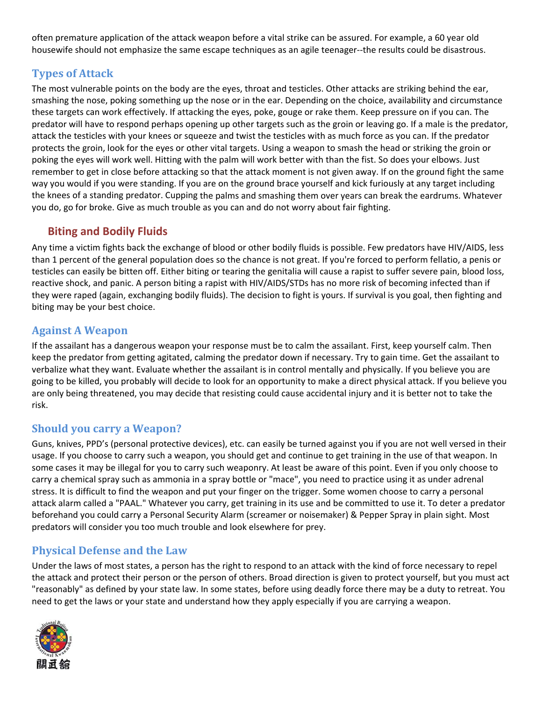often premature application of the attack weapon before a vital strike can be assured. For example, a 60 year old housewife should not emphasize the same escape techniques as an agile teenager--the results could be disastrous.

#### **Types of Attack**

The most vulnerable points on the body are the eyes, throat and testicles. Other attacks are striking behind the ear, smashing the nose, poking something up the nose or in the ear. Depending on the choice, availability and circumstance these targets can work effectively. If attacking the eyes, poke, gouge or rake them. Keep pressure on if you can. The predator will have to respond perhaps opening up other targets such as the groin or leaving go. If a male is the predator, attack the testicles with your knees or squeeze and twist the testicles with as much force as you can. If the predator protects the groin, look for the eyes or other vital targets. Using a weapon to smash the head or striking the groin or poking the eyes will work well. Hitting with the palm will work better with than the fist. So does your elbows. Just remember to get in close before attacking so that the attack moment is not given away. If on the ground fight the same way you would if you were standing. If you are on the ground brace yourself and kick furiously at any target including the knees of a standing predator. Cupping the palms and smashing them over years can break the eardrums. Whatever you do, go for broke. Give as much trouble as you can and do not worry about fair fighting.

#### **Biting and Bodily Fluids**

Any time a victim fights back the exchange of blood or other bodily fluids is possible. Few predators have HIV/AIDS, less than 1 percent of the general population does so the chance is not great. If you're forced to perform fellatio, a penis or testicles can easily be bitten off. Either biting or tearing the genitalia will cause a rapist to suffer severe pain, blood loss, reactive shock, and panic. A person biting a rapist with HIV/AIDS/STDs has no more risk of becoming infected than if they were raped (again, exchanging bodily fluids). The decision to fight is yours. If survival is you goal, then fighting and biting may be your best choice.

#### **Against A Weapon**

If the assailant has a dangerous weapon your response must be to calm the assailant. First, keep yourself calm. Then keep the predator from getting agitated, calming the predator down if necessary. Try to gain time. Get the assailant to verbalize what they want. Evaluate whether the assailant is in control mentally and physically. If you believe you are going to be killed, you probably will decide to look for an opportunity to make a direct physical attack. If you believe you are only being threatened, you may decide that resisting could cause accidental injury and it is better not to take the risk.

#### **Should you carry a Weapon?**

Guns, knives, PPD's (personal protective devices), etc. can easily be turned against you if you are not well versed in their usage. If you choose to carry such a weapon, you should get and continue to get training in the use of that weapon. In some cases it may be illegal for you to carry such weaponry. At least be aware of this point. Even if you only choose to carry a chemical spray such as ammonia in a spray bottle or "mace", you need to practice using it as under adrenal stress. It is difficult to find the weapon and put your finger on the trigger. Some women choose to carry a personal attack alarm called a "PAAL." Whatever you carry, get training in its use and be committed to use it. To deter a predator beforehand you could carry a Personal Security Alarm (screamer or noisemaker) & Pepper Spray in plain sight. Most predators will consider you too much trouble and look elsewhere for prey.

#### **Physical Defense and the Law**

Under the laws of most states, a person has the right to respond to an attack with the kind of force necessary to repel the attack and protect their person or the person of others. Broad direction is given to protect yourself, but you must act "reasonably" as defined by your state law. In some states, before using deadly force there may be a duty to retreat. You need to get the laws or your state and understand how they apply especially if you are carrying a weapon.

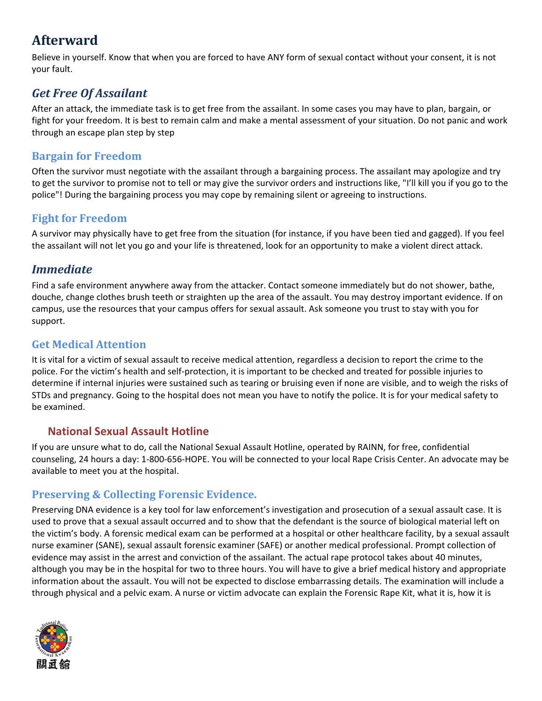## **Afterward**

Believe in yourself. Know that when you are forced to have ANY form of sexual contact without your consent, it is not your fault.

## *Get Free Of Assailant*

After an attack, the immediate task is to get free from the assailant. In some cases you may have to plan, bargain, or fight for your freedom. It is best to remain calm and make a mental assessment of your situation. Do not panic and work through an escape plan step by step

#### **Bargain for Freedom**

Often the survivor must negotiate with the assailant through a bargaining process. The assailant may apologize and try to get the survivor to promise not to tell or may give the survivor orders and instructions like, "I'll kill you if you go to the police"! During the bargaining process you may cope by remaining silent or agreeing to instructions.

#### **Fight for Freedom**

A survivor may physically have to get free from the situation (for instance, if you have been tied and gagged). If you feel the assailant will not let you go and your life is threatened, look for an opportunity to make a violent direct attack.

### *Immediate*

Find a safe environment anywhere away from the attacker. Contact someone immediately but do not shower, bathe, douche, change clothes brush teeth or straighten up the area of the assault. You may destroy important evidence. If on campus, use the resources that your campus offers for sexual assault. Ask someone you trust to stay with you for support.

#### **Get Medical Attention**

It is vital for a victim of sexual assault to receive medical attention, regardless a decision to report the crime to the police. For the victim's health and self‐protection, it is important to be checked and treated for possible injuries to determine if internal injuries were sustained such as tearing or bruising even if none are visible, and to weigh the risks of STDs and pregnancy. Going to the hospital does not mean you have to notify the police. It is for your medical safety to be examined.

#### **National Sexual Assault Hotline**

If you are unsure what to do, call the National Sexual Assault Hotline, operated by RAINN, for free, confidential counseling, 24 hours a day: 1‐800‐656‐HOPE. You will be connected to your local Rape Crisis Center. An advocate may be available to meet you at the hospital.

#### **Preserving & Collecting Forensic Evidence.**

Preserving DNA evidence is a key tool for law enforcement's investigation and prosecution of a sexual assault case. It is used to prove that a sexual assault occurred and to show that the defendant is the source of biological material left on the victim's body. A forensic medical exam can be performed at a hospital or other healthcare facility, by a sexual assault nurse examiner (SANE), sexual assault forensic examiner (SAFE) or another medical professional. Prompt collection of evidence may assist in the arrest and conviction of the assailant. The actual rape protocol takes about 40 minutes, although you may be in the hospital for two to three hours. You will have to give a brief medical history and appropriate information about the assault. You will not be expected to disclose embarrassing details. The examination will include a through physical and a pelvic exam. A nurse or victim advocate can explain the Forensic Rape Kit, what it is, how it is

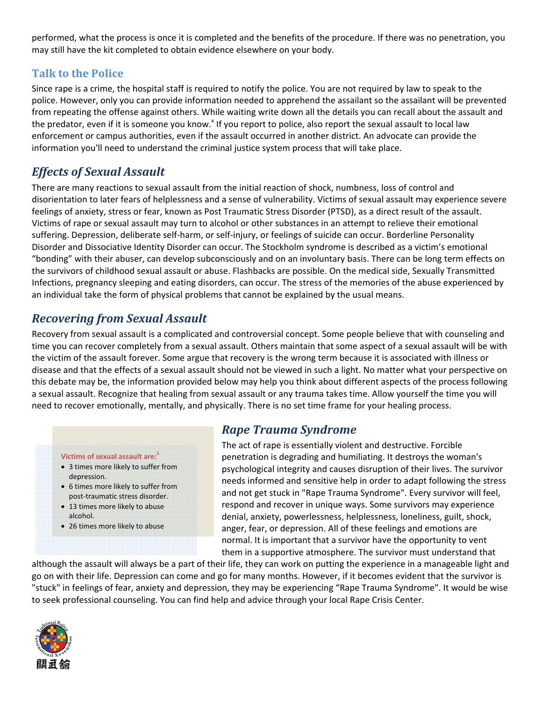performed, what the process is once it is completed and the benefits of the procedure. If there was no penetration, you may still have the kit completed to obtain evidence elsewhere on your body.

#### **Talk to the Police**

Since rape is a crime, the hospital staff is required to notify the police. You are not required by law to speak to the police. However, only you can provide information needed to apprehend the assailant so the assailant will be prevented from repeating the offense against others. While waiting write down all the details you can recall about the assault and the predator, even if it is someone you know.<sup>x</sup> If you report to police, also report the sexual assault to local law enforcement or campus authorities, even if the assault occurred in another district. An advocate can provide the information you'll need to understand the criminal justice system process that will take place.

## *Effects of Sexual Assault*

There are many reactions to sexual assault from the initial reaction of shock, numbness, loss of control and disorientation to later fears of helplessness and a sense of vulnerability. Victims of sexual assault may experience severe feelings of anxiety, stress or fear, known as Post Traumatic Stress Disorder (PTSD), as a direct result of the assault. Victims of rape or sexual assault may turn to alcohol or other substances in an attempt to relieve their emotional suffering. Depression, deliberate self‐harm, or self‐injury, or feelings of suicide can occur. Borderline Personality Disorder and Dissociative Identity Disorder can occur. The Stockholm syndrome is described as a victim's emotional "bonding" with their abuser, can develop subconsciously and on an involuntary basis. There can be long term effects on the survivors of childhood sexual assault or abuse. Flashbacks are possible. On the medical side, Sexually Transmitted Infections, pregnancy sleeping and eating disorders, can occur. The stress of the memories of the abuse experienced by an individual take the form of physical problems that cannot be explained by the usual means.

### *Recovering from Sexual Assault*

Recovery from sexual assault is a complicated and controversial concept. Some people believe that with counseling and time you can recover completely from a sexual assault. Others maintain that some aspect of a sexual assault will be with the victim of the assault forever. Some argue that recovery is the wrong term because it is associated with illness or disease and that the effects of a sexual assault should not be viewed in such a light. No matter what your perspective on this debate may be, the information provided below may help you think about different aspects of the process following a sexual assault. Recognize that healing from sexual assault or any trauma takes time. Allow yourself the time you will need to recover emotionally, mentally, and physically. There is no set time frame for your healing process.

#### **Victims of sexual assault are:**<sup>1</sup>

- 3 times more likely to suffer from depression.
- 6 times more likely to suffer from post‐traumatic stress disorder.
- 13 times more likely to abuse alcohol.
- 26 times more likely to abuse

### *Rape Trauma Syndrome*

The act of rape is essentially violent and destructive. Forcible penetration is degrading and humiliating. It destroys the woman's psychological integrity and causes disruption of their lives. The survivor needs informed and sensitive help in order to adapt following the stress and not get stuck in "Rape Trauma Syndrome". Every survivor will feel, respond and recover in unique ways. Some survivors may experience denial, anxiety, powerlessness, helplessness, loneliness, guilt, shock, anger, fear, or depression. All of these feelings and emotions are normal. It is important that a survivor have the opportunity to vent them in a supportive atmosphere. The survivor must understand that

although the assault will always be a part of their life, they can work on putting the experience in a manageable light and go on with their life. Depression can come and go for many months. However, if it becomes evident that the survivor is "stuck" in feelings of fear, anxiety and depression, they may be experiencing "Rape Trauma Syndrome". It would be wise to seek professional counseling. You can find help and advice through your local Rape Crisis Center.